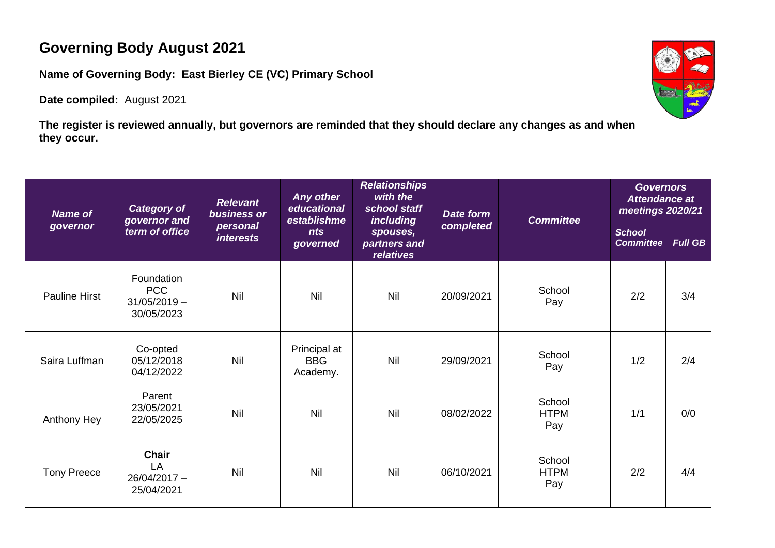## **Governing Body August 2021**

**Name of Governing Body: East Bierley CE (VC) Primary School**

**Date compiled:** August 2021



**The register is reviewed annually, but governors are reminded that they should declare any changes as and when they occur.**

| <b>Name of</b><br>governor | <b>Category of</b><br>governor and<br>term of office     | <b>Relevant</b><br><b>business</b> or<br>personal<br><i>interests</i> | Any other<br>educational<br>establishme<br>nts<br>governed | <b>Relationships</b><br>with the<br>school staff<br><i>including</i><br>spouses,<br>partners and<br>relatives | <b>Date form</b><br>completed | <b>Committee</b>             | <b>Governors</b><br><b>Attendance at</b><br>meetings 2020/21<br><b>School</b><br><b>Committee</b> | <b>Full GB</b> |
|----------------------------|----------------------------------------------------------|-----------------------------------------------------------------------|------------------------------------------------------------|---------------------------------------------------------------------------------------------------------------|-------------------------------|------------------------------|---------------------------------------------------------------------------------------------------|----------------|
| <b>Pauline Hirst</b>       | Foundation<br><b>PCC</b><br>$31/05/2019 -$<br>30/05/2023 | Nil                                                                   | Nil                                                        | Nil                                                                                                           | 20/09/2021                    | School<br>Pay                | 2/2                                                                                               | 3/4            |
| Saira Luffman              | Co-opted<br>05/12/2018<br>04/12/2022                     | Nil                                                                   | Principal at<br><b>BBG</b><br>Academy.                     | Nil                                                                                                           | 29/09/2021                    | School<br>Pay                | 1/2                                                                                               | 2/4            |
| Anthony Hey                | Parent<br>23/05/2021<br>22/05/2025                       | Nil                                                                   | Nil                                                        | Nil                                                                                                           | 08/02/2022                    | School<br><b>HTPM</b><br>Pay | 1/1                                                                                               | 0/0            |
| <b>Tony Preece</b>         | <b>Chair</b><br>LA<br>26/04/2017 -<br>25/04/2021         | Nil                                                                   | Nil                                                        | Nil                                                                                                           | 06/10/2021                    | School<br><b>HTPM</b><br>Pay | 2/2                                                                                               | 4/4            |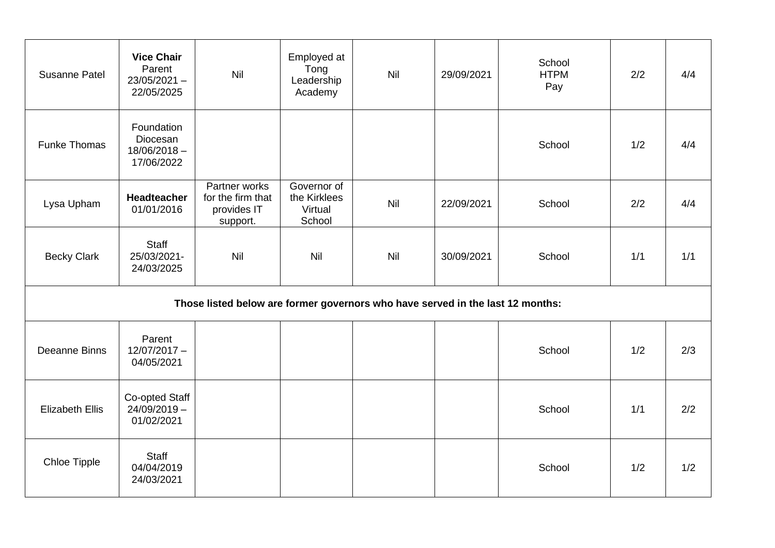| Susanne Patel                                                                  | <b>Vice Chair</b><br>Parent<br>$23/05/2021 -$<br>22/05/2025 | Nil                                                           | Employed at<br>Tong<br>Leadership<br>Academy     | Nil | 29/09/2021 | School<br><b>HTPM</b><br>Pay | 2/2 | 4/4 |  |  |  |  |
|--------------------------------------------------------------------------------|-------------------------------------------------------------|---------------------------------------------------------------|--------------------------------------------------|-----|------------|------------------------------|-----|-----|--|--|--|--|
| <b>Funke Thomas</b>                                                            | Foundation<br>Diocesan<br>$18/06/2018 -$<br>17/06/2022      |                                                               |                                                  |     |            | School                       | 1/2 | 4/4 |  |  |  |  |
| Lysa Upham                                                                     | Headteacher<br>01/01/2016                                   | Partner works<br>for the firm that<br>provides IT<br>support. | Governor of<br>the Kirklees<br>Virtual<br>School | Nil | 22/09/2021 | School                       | 2/2 | 4/4 |  |  |  |  |
| <b>Becky Clark</b>                                                             | Staff<br>25/03/2021-<br>24/03/2025                          | Nil                                                           | <b>Nil</b>                                       | Nil | 30/09/2021 | School                       | 1/1 | 1/1 |  |  |  |  |
| Those listed below are former governors who have served in the last 12 months: |                                                             |                                                               |                                                  |     |            |                              |     |     |  |  |  |  |
| Deeanne Binns                                                                  | Parent<br>$12/07/2017 -$<br>04/05/2021                      |                                                               |                                                  |     |            | School                       | 1/2 | 2/3 |  |  |  |  |
| <b>Elizabeth Ellis</b>                                                         | Co-opted Staff<br>$24/09/2019 -$<br>01/02/2021              |                                                               |                                                  |     |            | School                       | 1/1 | 2/2 |  |  |  |  |
| Chloe Tipple                                                                   | <b>Staff</b><br>04/04/2019<br>24/03/2021                    |                                                               |                                                  |     |            | School                       | 1/2 | 1/2 |  |  |  |  |